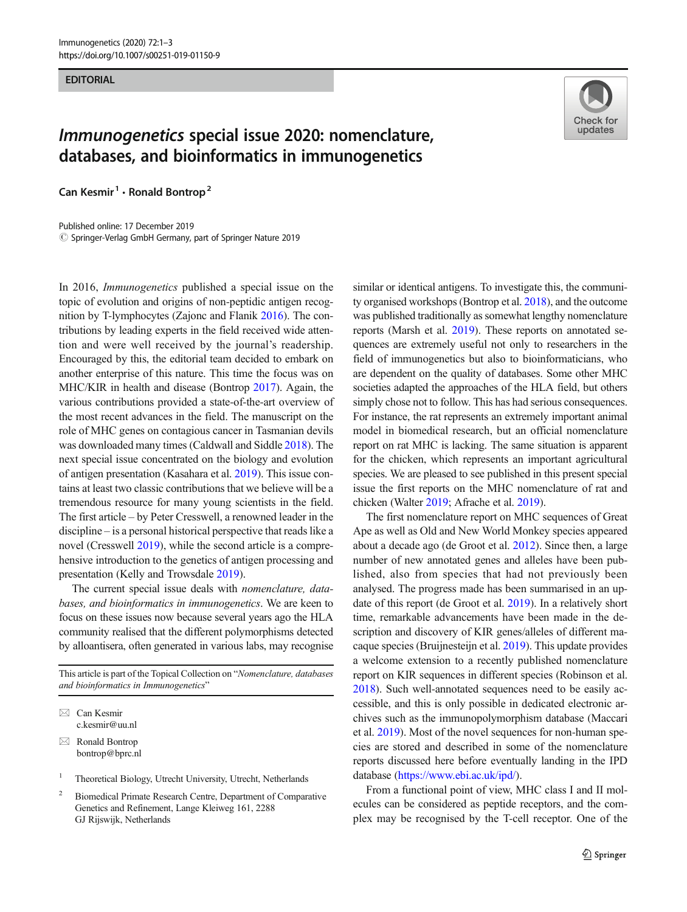## **EDITORIAL**

## Immunogenetics special issue 2020: nomenclature, databases, and bioinformatics in immunogenetics

Can Kesmir<sup>1</sup>  $\cdot$  Ronald Bontrop<sup>2</sup>

Published online: 17 December 2019  $\oslash$  Springer-Verlag GmbH Germany, part of Springer Nature 2019

In 2016, Immunogenetics published a special issue on the topic of evolution and origins of non-peptidic antigen recognition by T-lymphocytes (Zajonc and Flanik [2016\)](#page-2-0). The contributions by leading experts in the field received wide attention and were well received by the journal's readership. Encouraged by this, the editorial team decided to embark on another enterprise of this nature. This time the focus was on MHC/KIR in health and disease (Bontrop [2017](#page-1-0)). Again, the various contributions provided a state-of-the-art overview of the most recent advances in the field. The manuscript on the role of MHC genes on contagious cancer in Tasmanian devils was downloaded many times (Caldwall and Siddle [2018](#page-1-0)). The next special issue concentrated on the biology and evolution of antigen presentation (Kasahara et al. [2019](#page-1-0)). This issue contains at least two classic contributions that we believe will be a tremendous resource for many young scientists in the field. The first article – by Peter Cresswell, a renowned leader in the discipline – is a personal historical perspective that reads like a novel (Cresswell [2019\)](#page-1-0), while the second article is a comprehensive introduction to the genetics of antigen processing and presentation (Kelly and Trowsdale [2019](#page-1-0)).

The current special issue deals with nomenclature, databases, and bioinformatics in immunogenetics. We are keen to focus on these issues now because several years ago the HLA community realised that the different polymorphisms detected by alloantisera, often generated in various labs, may recognise

This article is part of the Topical Collection on "Nomenclature, databases and bioinformatics in Immunogenetics"

 $\boxtimes$  Can Kesmir [c.kesmir@uu.nl](mailto:c.kesmir@uu.nl)

 $\boxtimes$  Ronald Bontrop [bontrop@bprc.nl](mailto:bontrop@bprc.nl)

<sup>1</sup> Theoretical Biology, Utrecht University, Utrecht, Netherlands

<sup>2</sup> Biomedical Primate Research Centre, Department of Comparative Genetics and Refinement, Lange Kleiweg 161, 2288 GJ Rijswijk, Netherlands



similar or identical antigens. To investigate this, the community organised workshops (Bontrop et al. [2018](#page-1-0)), and the outcome was published traditionally as somewhat lengthy nomenclature reports (Marsh et al. [2019](#page-1-0)). These reports on annotated sequences are extremely useful not only to researchers in the field of immunogenetics but also to bioinformaticians, who are dependent on the quality of databases. Some other MHC societies adapted the approaches of the HLA field, but others simply chose not to follow. This has had serious consequences. For instance, the rat represents an extremely important animal model in biomedical research, but an official nomenclature report on rat MHC is lacking. The same situation is apparent for the chicken, which represents an important agricultural species. We are pleased to see published in this present special issue the first reports on the MHC nomenclature of rat and chicken (Walter [2019;](#page-2-0) Afrache et al. [2019\)](#page-1-0).

The first nomenclature report on MHC sequences of Great Ape as well as Old and New World Monkey species appeared about a decade ago (de Groot et al. [2012](#page-1-0)). Since then, a large number of new annotated genes and alleles have been published, also from species that had not previously been analysed. The progress made has been summarised in an update of this report (de Groot et al. [2019\)](#page-1-0). In a relatively short time, remarkable advancements have been made in the description and discovery of KIR genes/alleles of different macaque species (Bruijnesteijn et al. [2019\)](#page-1-0). This update provides a welcome extension to a recently published nomenclature report on KIR sequences in different species (Robinson et al. [2018\)](#page-1-0). Such well-annotated sequences need to be easily accessible, and this is only possible in dedicated electronic archives such as the immunopolymorphism database (Maccari et al. [2019\)](#page-1-0). Most of the novel sequences for non-human species are stored and described in some of the nomenclature reports discussed here before eventually landing in the IPD database [\(https://www.ebi.ac.uk/ipd/](https://www.ebi.ac.uk/ipd/)).

From a functional point of view, MHC class I and II molecules can be considered as peptide receptors, and the complex may be recognised by the T-cell receptor. One of the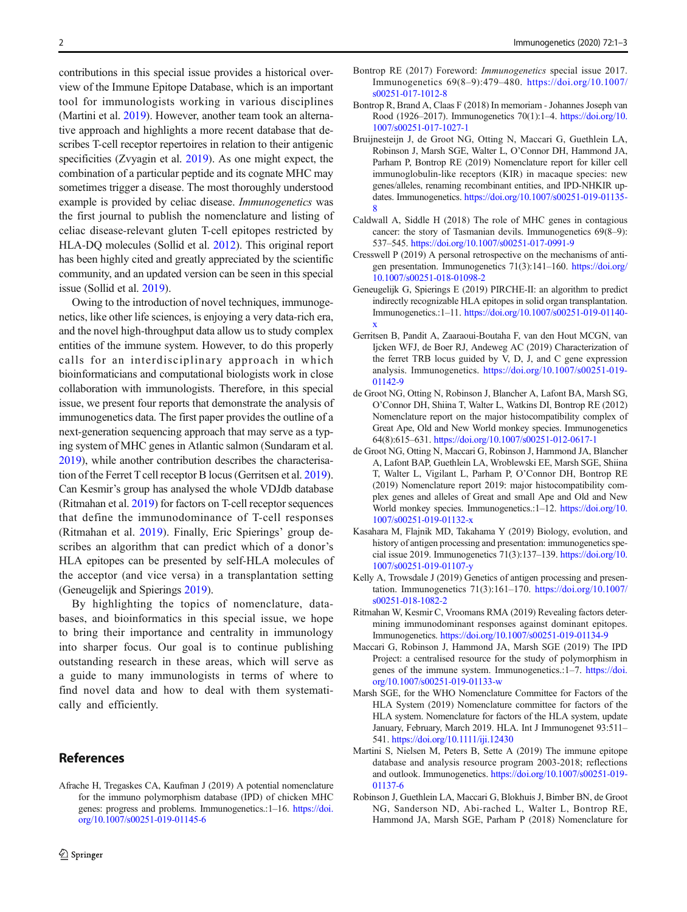<span id="page-1-0"></span>contributions in this special issue provides a historical overview of the Immune Epitope Database, which is an important tool for immunologists working in various disciplines (Martini et al. 2019). However, another team took an alternative approach and highlights a more recent database that describes T-cell receptor repertoires in relation to their antigenic specificities (Zvyagin et al. [2019\)](#page-2-0). As one might expect, the combination of a particular peptide and its cognate MHC may sometimes trigger a disease. The most thoroughly understood example is provided by celiac disease. Immunogenetics was the first journal to publish the nomenclature and listing of celiac disease-relevant gluten T-cell epitopes restricted by HLA-DQ molecules (Sollid et al. [2012](#page-2-0)). This original report has been highly cited and greatly appreciated by the scientific community, and an updated version can be seen in this special issue (Sollid et al. [2019\)](#page-2-0).

Owing to the introduction of novel techniques, immunogenetics, like other life sciences, is enjoying a very data-rich era, and the novel high-throughput data allow us to study complex entities of the immune system. However, to do this properly calls for an interdisciplinary approach in which bioinformaticians and computational biologists work in close collaboration with immunologists. Therefore, in this special issue, we present four reports that demonstrate the analysis of immunogenetics data. The first paper provides the outline of a next-generation sequencing approach that may serve as a typing system of MHC genes in Atlantic salmon (Sundaram et al. [2019\)](#page-2-0), while another contribution describes the characterisation of the Ferret T cell receptor B locus (Gerritsen et al. 2019). Can Kesmir's group has analysed the whole VDJdb database (Ritmahan et al. 2019) for factors on T-cell receptor sequences that define the immunodominance of T-cell responses (Ritmahan et al. 2019). Finally, Eric Spierings' group describes an algorithm that can predict which of a donor's HLA epitopes can be presented by self-HLA molecules of the acceptor (and vice versa) in a transplantation setting (Geneugelijk and Spierings 2019).

By highlighting the topics of nomenclature, databases, and bioinformatics in this special issue, we hope to bring their importance and centrality in immunology into sharper focus. Our goal is to continue publishing outstanding research in these areas, which will serve as a guide to many immunologists in terms of where to find novel data and how to deal with them systematically and efficiently.

## References

Afrache H, Tregaskes CA, Kaufman J (2019) A potential nomenclature for the immuno polymorphism database (IPD) of chicken MHC genes: progress and problems. Immunogenetics.:1–16. [https://doi.](https://doi.org/10.1007/s00251-019-01145-6) [org/10.1007/s00251-019-01145-6](https://doi.org/10.1007/s00251-019-01145-6)

- Bontrop RE (2017) Foreword: Immunogenetics special issue 2017. Immunogenetics 69(8–9):479–480. [https://doi.org/10.1007/](https://doi.org/10.1007/s00251-017-1012-8) [s00251-017-1012-8](https://doi.org/10.1007/s00251-017-1012-8)
- Bontrop R, Brand A, Claas F (2018) In memoriam Johannes Joseph van Rood (1926–2017). Immunogenetics 70(1):1–4. [https://doi.org/10.](https://doi.org/10.1007/s00251-017-1027-1) [1007/s00251-017-1027-1](https://doi.org/10.1007/s00251-017-1027-1)
- Bruijnesteijn J, de Groot NG, Otting N, Maccari G, Guethlein LA, Robinson J, Marsh SGE, Walter L, O'Connor DH, Hammond JA, Parham P, Bontrop RE (2019) Nomenclature report for killer cell immunoglobulin-like receptors (KIR) in macaque species: new genes/alleles, renaming recombinant entities, and IPD-NHKIR updates. Immunogenetics. [https://doi.org/10.1007/s00251-019-01135-](https://doi.org/10.1007/s00251-019-01135-8) [8](https://doi.org/10.1007/s00251-019-01135-8)
- Caldwall A, Siddle H (2018) The role of MHC genes in contagious cancer: the story of Tasmanian devils. Immunogenetics 69(8–9): 537–545. <https://doi.org/10.1007/s00251-017-0991-9>
- Cresswell P (2019) A personal retrospective on the mechanisms of antigen presentation. Immunogenetics 71(3):141–160. [https://doi.org/](https://doi.org/10.1007/s00251-018-01098-2) [10.1007/s00251-018-01098-2](https://doi.org/10.1007/s00251-018-01098-2)
- Geneugelijk G, Spierings E (2019) PIRCHE-II: an algorithm to predict indirectly recognizable HLA epitopes in solid organ transplantation. Immunogenetics.:1–11. [https://doi.org/10.1007/s00251-019-01140](https://doi.org/10.1007/s00251-019-01140-x) [x](https://doi.org/10.1007/s00251-019-01140-x)
- Gerritsen B, Pandit A, Zaaraoui-Boutaha F, van den Hout MCGN, van Ijcken WFJ, de Boer RJ, Andeweg AC (2019) Characterization of the ferret TRB locus guided by V, D, J, and C gene expression analysis. Immunogenetics. [https://doi.org/10.1007/s00251-019-](https://doi.org/10.1007/s00251-019-01142-9) [01142-9](https://doi.org/10.1007/s00251-019-01142-9)
- de Groot NG, Otting N, Robinson J, Blancher A, Lafont BA, Marsh SG, O'Connor DH, Shiina T, Walter L, Watkins DI, Bontrop RE (2012) Nomenclature report on the major histocompatibility complex of Great Ape, Old and New World monkey species. Immunogenetics 64(8):615–631. <https://doi.org/10.1007/s00251-012-0617-1>
- de Groot NG, Otting N, Maccari G, Robinson J, Hammond JA, Blancher A, Lafont BAP, Guethlein LA, Wroblewski EE, Marsh SGE, Shiina T, Walter L, Vigilant L, Parham P, O'Connor DH, Bontrop RE (2019) Nomenclature report 2019: major histocompatibility complex genes and alleles of Great and small Ape and Old and New World monkey species. Immunogenetics.:1–12. [https://doi.org/10.](https://doi.org/10.1007/s00251-019-01132-x) [1007/s00251-019-01132-x](https://doi.org/10.1007/s00251-019-01132-x)
- Kasahara M, Flajnik MD, Takahama Y (2019) Biology, evolution, and history of antigen processing and presentation: immunogenetics special issue 2019. Immunogenetics 71(3):137–139. [https://doi.org/10.](https://doi.org/10.1007/s00251-019-01107-y) [1007/s00251-019-01107-y](https://doi.org/10.1007/s00251-019-01107-y)
- Kelly A, Trowsdale J (2019) Genetics of antigen processing and presentation. Immunogenetics 71(3):161–170. [https://doi.org/10.1007/](https://doi.org/10.1007/s00251-018-1082-2) [s00251-018-1082-2](https://doi.org/10.1007/s00251-018-1082-2)
- Ritmahan W, Kesmir C, Vroomans RMA (2019) Revealing factors determining immunodominant responses against dominant epitopes. Immunogenetics. <https://doi.org/10.1007/s00251-019-01134-9>
- Maccari G, Robinson J, Hammond JA, Marsh SGE (2019) The IPD Project: a centralised resource for the study of polymorphism in genes of the immune system. Immunogenetics.:1–7. [https://doi.](https://doi.org/10.1007/s00251-019-01133-w) [org/10.1007/s00251-019-01133-w](https://doi.org/10.1007/s00251-019-01133-w)
- Marsh SGE, for the WHO Nomenclature Committee for Factors of the HLA System (2019) Nomenclature committee for factors of the HLA system. Nomenclature for factors of the HLA system, update January, February, March 2019. HLA. Int J Immunogenet 93:511– 541. <https://doi.org/10.1111/iji.12430>
- Martini S, Nielsen M, Peters B, Sette A (2019) The immune epitope database and analysis resource program 2003-2018; reflections and outlook. Immunogenetics. [https://doi.org/10.1007/s00251-019-](https://doi.org/10.1007/s00251-019-01137-6) [01137-6](https://doi.org/10.1007/s00251-019-01137-6)
- Robinson J, Guethlein LA, Maccari G, Blokhuis J, Bimber BN, de Groot NG, Sanderson ND, Abi-rached L, Walter L, Bontrop RE, Hammond JA, Marsh SGE, Parham P (2018) Nomenclature for